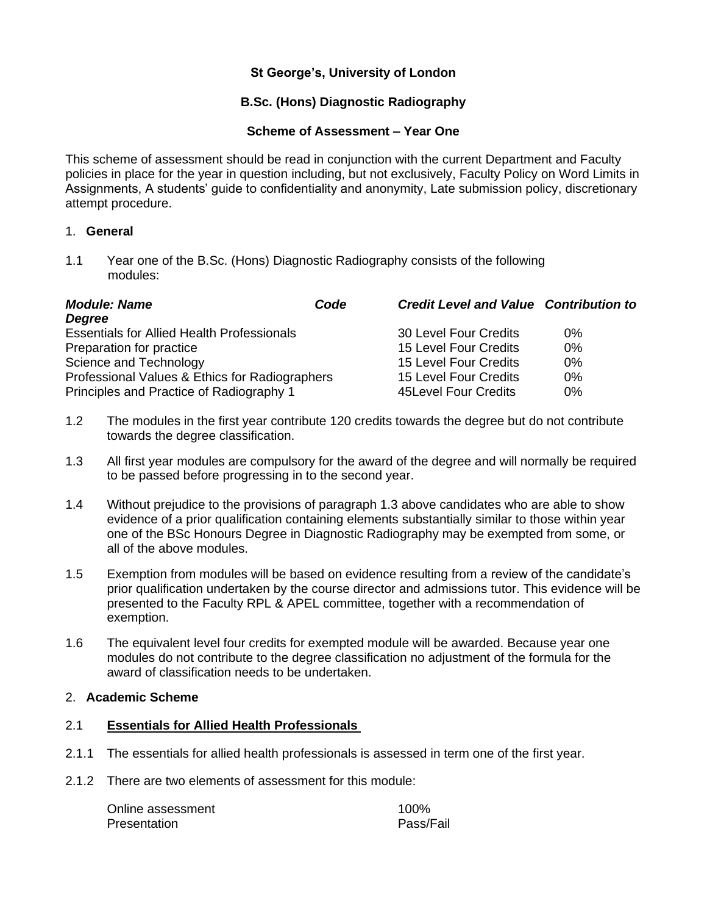## **St George's, University of London**

# **B.Sc. (Hons) Diagnostic Radiography**

## **Scheme of Assessment – Year One**

This scheme of assessment should be read in conjunction with the current Department and Faculty policies in place for the year in question including, but not exclusively, Faculty Policy on Word Limits in Assignments, A students' guide to confidentiality and anonymity, Late submission policy, discretionary attempt procedure.

## 1. **General**

1.1 Year one of the B.Sc. (Hons) Diagnostic Radiography consists of the following modules:

| <b>Module: Name</b>                               | Code | <b>Credit Level and Value Contribution to</b> |       |
|---------------------------------------------------|------|-----------------------------------------------|-------|
| <b>Degree</b>                                     |      |                                               |       |
| <b>Essentials for Allied Health Professionals</b> |      | 30 Level Four Credits                         | $0\%$ |
| Preparation for practice                          |      | 15 Level Four Credits                         | $0\%$ |
| Science and Technology                            |      | 15 Level Four Credits                         | 0%    |
| Professional Values & Ethics for Radiographers    |      | 15 Level Four Credits                         | $0\%$ |
| Principles and Practice of Radiography 1          |      | 45 Level Four Credits                         | $0\%$ |

- 1.2 The modules in the first year contribute 120 credits towards the degree but do not contribute towards the degree classification.
- 1.3 All first year modules are compulsory for the award of the degree and will normally be required to be passed before progressing in to the second year.
- 1.4 Without prejudice to the provisions of paragraph 1.3 above candidates who are able to show evidence of a prior qualification containing elements substantially similar to those within year one of the BSc Honours Degree in Diagnostic Radiography may be exempted from some, or all of the above modules.
- 1.5 Exemption from modules will be based on evidence resulting from a review of the candidate's prior qualification undertaken by the course director and admissions tutor. This evidence will be presented to the Faculty RPL & APEL committee, together with a recommendation of exemption.
- 1.6 The equivalent level four credits for exempted module will be awarded. Because year one modules do not contribute to the degree classification no adjustment of the formula for the award of classification needs to be undertaken.

#### 2. **Academic Scheme**

### 2.1 **Essentials for Allied Health Professionals**

- 2.1.1 The essentials for allied health professionals is assessed in term one of the first year.
- 2.1.2 There are two elements of assessment for this module:

| Online assessment | 100%      |
|-------------------|-----------|
| Presentation      | Pass/Fail |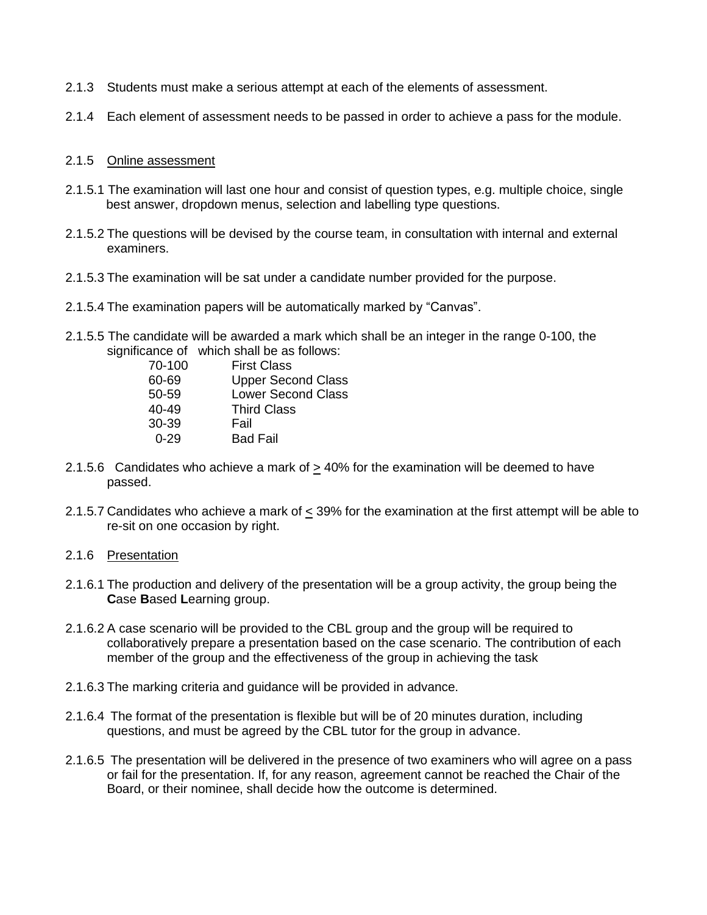- 2.1.3 Students must make a serious attempt at each of the elements of assessment.
- 2.1.4 Each element of assessment needs to be passed in order to achieve a pass for the module.

## 2.1.5 Online assessment

- 2.1.5.1 The examination will last one hour and consist of question types, e.g. multiple choice, single best answer, dropdown menus, selection and labelling type questions.
- 2.1.5.2 The questions will be devised by the course team, in consultation with internal and external examiners.
- 2.1.5.3 The examination will be sat under a candidate number provided for the purpose.
- 2.1.5.4 The examination papers will be automatically marked by "Canvas".
- 2.1.5.5 The candidate will be awarded a mark which shall be an integer in the range 0-100, the significance of which shall be as follows:

| <b>First Class</b>        |
|---------------------------|
| <b>Upper Second Class</b> |
| <b>Lower Second Class</b> |
| <b>Third Class</b>        |
| Fail                      |
| <b>Bad Fail</b>           |
|                           |

- 2.1.5.6 Candidates who achieve a mark of  $\geq$  40% for the examination will be deemed to have passed.
- 2.1.5.7 Candidates who achieve a mark of < 39% for the examination at the first attempt will be able to re-sit on one occasion by right.

## 2.1.6 Presentation

- 2.1.6.1 The production and delivery of the presentation will be a group activity, the group being the **C**ase **B**ased **L**earning group.
- 2.1.6.2 A case scenario will be provided to the CBL group and the group will be required to collaboratively prepare a presentation based on the case scenario. The contribution of each member of the group and the effectiveness of the group in achieving the task
- 2.1.6.3 The marking criteria and guidance will be provided in advance.
- 2.1.6.4 The format of the presentation is flexible but will be of 20 minutes duration, including questions, and must be agreed by the CBL tutor for the group in advance.
- 2.1.6.5 The presentation will be delivered in the presence of two examiners who will agree on a pass or fail for the presentation. If, for any reason, agreement cannot be reached the Chair of the Board, or their nominee, shall decide how the outcome is determined.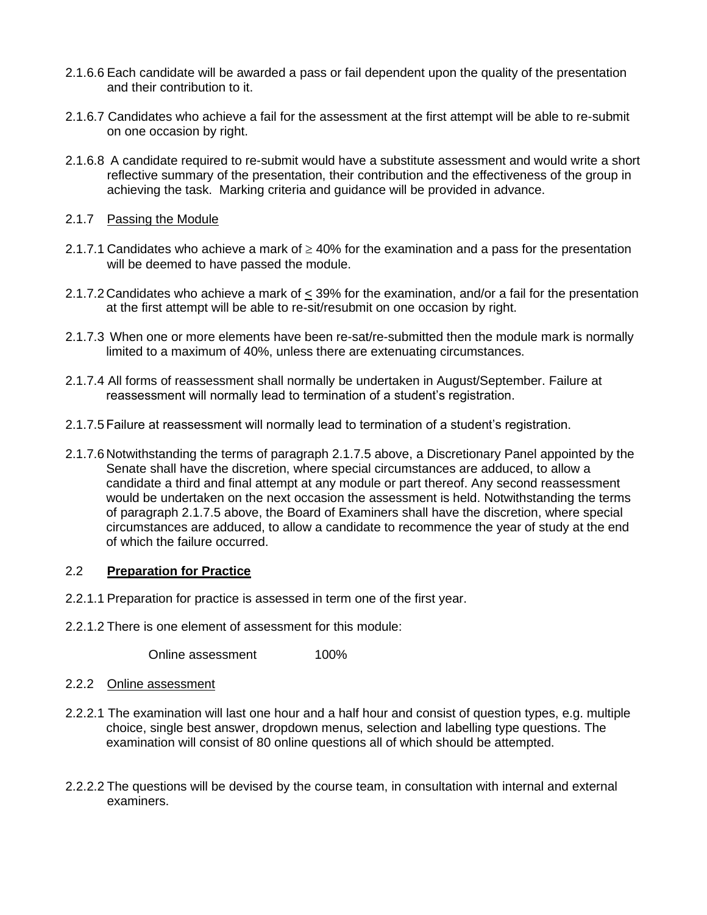- 2.1.6.6 Each candidate will be awarded a pass or fail dependent upon the quality of the presentation and their contribution to it.
- 2.1.6.7 Candidates who achieve a fail for the assessment at the first attempt will be able to re-submit on one occasion by right.
- 2.1.6.8 A candidate required to re-submit would have a substitute assessment and would write a short reflective summary of the presentation, their contribution and the effectiveness of the group in achieving the task. Marking criteria and guidance will be provided in advance.

### 2.1.7 Passing the Module

- 2.1.7.1 Candidates who achieve a mark of  $\geq 40\%$  for the examination and a pass for the presentation will be deemed to have passed the module.
- 2.1.7.2 Candidates who achieve a mark of < 39% for the examination, and/or a fail for the presentation at the first attempt will be able to re-sit/resubmit on one occasion by right.
- 2.1.7.3 When one or more elements have been re-sat/re-submitted then the module mark is normally limited to a maximum of 40%, unless there are extenuating circumstances.
- 2.1.7.4 All forms of reassessment shall normally be undertaken in August/September. Failure at reassessment will normally lead to termination of a student's registration.
- 2.1.7.5Failure at reassessment will normally lead to termination of a student's registration.
- 2.1.7.6 Notwithstanding the terms of paragraph 2.1.7.5 above, a Discretionary Panel appointed by the Senate shall have the discretion, where special circumstances are adduced, to allow a candidate a third and final attempt at any module or part thereof. Any second reassessment would be undertaken on the next occasion the assessment is held. Notwithstanding the terms of paragraph 2.1.7.5 above, the Board of Examiners shall have the discretion, where special circumstances are adduced, to allow a candidate to recommence the year of study at the end of which the failure occurred.

## 2.2 **Preparation for Practice**

- 2.2.1.1 Preparation for practice is assessed in term one of the first year.
- 2.2.1.2 There is one element of assessment for this module:

Online assessment 100%

#### 2.2.2 Online assessment

- 2.2.2.1 The examination will last one hour and a half hour and consist of question types, e.g. multiple choice, single best answer, dropdown menus, selection and labelling type questions. The examination will consist of 80 online questions all of which should be attempted.
- 2.2.2.2 The questions will be devised by the course team, in consultation with internal and external examiners.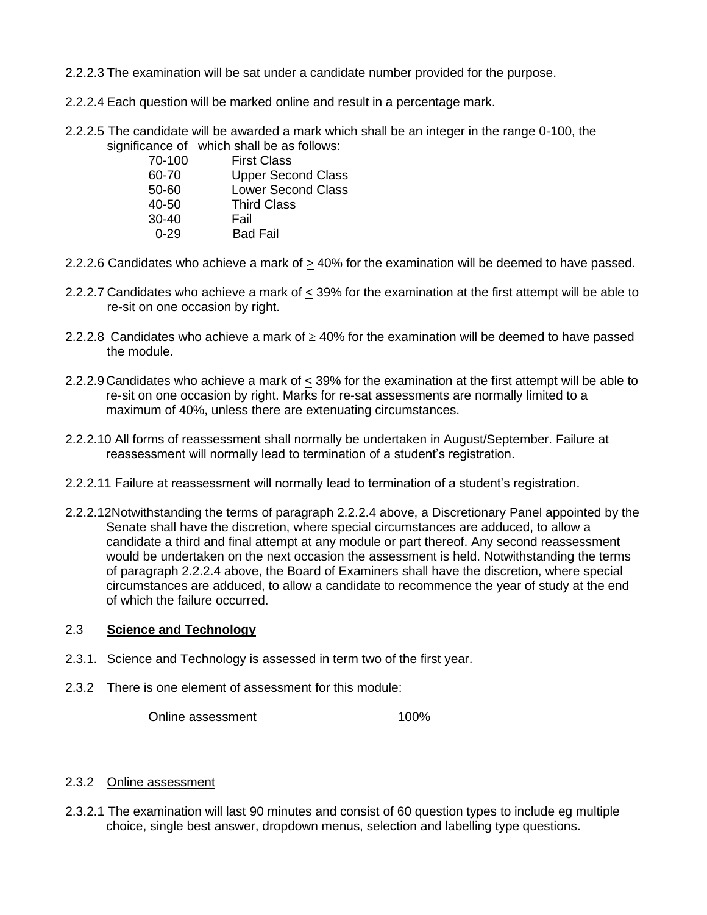2.2.2.3 The examination will be sat under a candidate number provided for the purpose.

2.2.2.4 Each question will be marked online and result in a percentage mark.

2.2.2.5 The candidate will be awarded a mark which shall be an integer in the range 0-100, the significance of which shall be as follows:

| 70-100    | <b>First Class</b>        |
|-----------|---------------------------|
| 60-70     | <b>Upper Second Class</b> |
| 50-60     | <b>Lower Second Class</b> |
| $40 - 50$ | <b>Third Class</b>        |
| $30-40$   | Fail                      |
| $0 - 29$  | <b>Bad Fail</b>           |
|           |                           |

- 2.2.2.6 Candidates who achieve a mark of  $\geq$  40% for the examination will be deemed to have passed.
- 2.2.2.7 Candidates who achieve a mark of < 39% for the examination at the first attempt will be able to re-sit on one occasion by right.
- 2.2.2.8 Candidates who achieve a mark of  $\geq$  40% for the examination will be deemed to have passed the module.
- 2.2.2.9 Candidates who achieve a mark of  $\leq$  39% for the examination at the first attempt will be able to re-sit on one occasion by right. Marks for re-sat assessments are normally limited to a maximum of 40%, unless there are extenuating circumstances.
- 2.2.2.10 All forms of reassessment shall normally be undertaken in August/September. Failure at reassessment will normally lead to termination of a student's registration.
- 2.2.2.11 Failure at reassessment will normally lead to termination of a student's registration.
- 2.2.2.12Notwithstanding the terms of paragraph 2.2.2.4 above, a Discretionary Panel appointed by the Senate shall have the discretion, where special circumstances are adduced, to allow a candidate a third and final attempt at any module or part thereof. Any second reassessment would be undertaken on the next occasion the assessment is held. Notwithstanding the terms of paragraph 2.2.2.4 above, the Board of Examiners shall have the discretion, where special circumstances are adduced, to allow a candidate to recommence the year of study at the end of which the failure occurred.

### 2.3 **Science and Technology**

- 2.3.1. Science and Technology is assessed in term two of the first year.
- 2.3.2 There is one element of assessment for this module:

Online assessment 100%

## 2.3.2 Online assessment

2.3.2.1 The examination will last 90 minutes and consist of 60 question types to include eg multiple choice, single best answer, dropdown menus, selection and labelling type questions.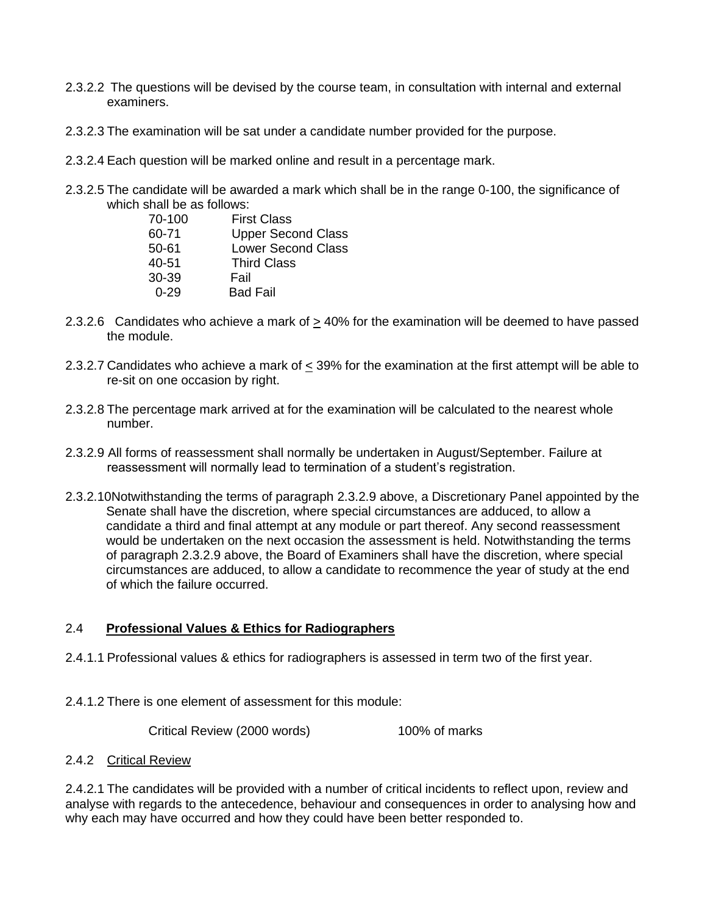- 2.3.2.2 The questions will be devised by the course team, in consultation with internal and external examiners.
- 2.3.2.3 The examination will be sat under a candidate number provided for the purpose.
- 2.3.2.4 Each question will be marked online and result in a percentage mark.
- 2.3.2.5 The candidate will be awarded a mark which shall be in the range 0-100, the significance of which shall be as follows:

| 70-100    | <b>First Class</b>        |
|-----------|---------------------------|
| 60-71     | <b>Upper Second Class</b> |
| $50 - 61$ | <b>Lower Second Class</b> |
| $40 - 51$ | <b>Third Class</b>        |
| 30-39     | Fail                      |
| በ-29      | <b>Bad Fail</b>           |

- 2.3.2.6 Candidates who achieve a mark of  $\geq$  40% for the examination will be deemed to have passed the module.
- 2.3.2.7 Candidates who achieve a mark of < 39% for the examination at the first attempt will be able to re-sit on one occasion by right.
- 2.3.2.8 The percentage mark arrived at for the examination will be calculated to the nearest whole number.
- 2.3.2.9 All forms of reassessment shall normally be undertaken in August/September. Failure at reassessment will normally lead to termination of a student's registration.
- 2.3.2.10Notwithstanding the terms of paragraph 2.3.2.9 above, a Discretionary Panel appointed by the Senate shall have the discretion, where special circumstances are adduced, to allow a candidate a third and final attempt at any module or part thereof. Any second reassessment would be undertaken on the next occasion the assessment is held. Notwithstanding the terms of paragraph 2.3.2.9 above, the Board of Examiners shall have the discretion, where special circumstances are adduced, to allow a candidate to recommence the year of study at the end of which the failure occurred.

## 2.4 **Professional Values & Ethics for Radiographers**

- 2.4.1.1 Professional values & ethics for radiographers is assessed in term two of the first year.
- 2.4.1.2 There is one element of assessment for this module:

Critical Review (2000 words) 100% of marks

#### 2.4.2 Critical Review

2.4.2.1 The candidates will be provided with a number of critical incidents to reflect upon, review and analyse with regards to the antecedence, behaviour and consequences in order to analysing how and why each may have occurred and how they could have been better responded to.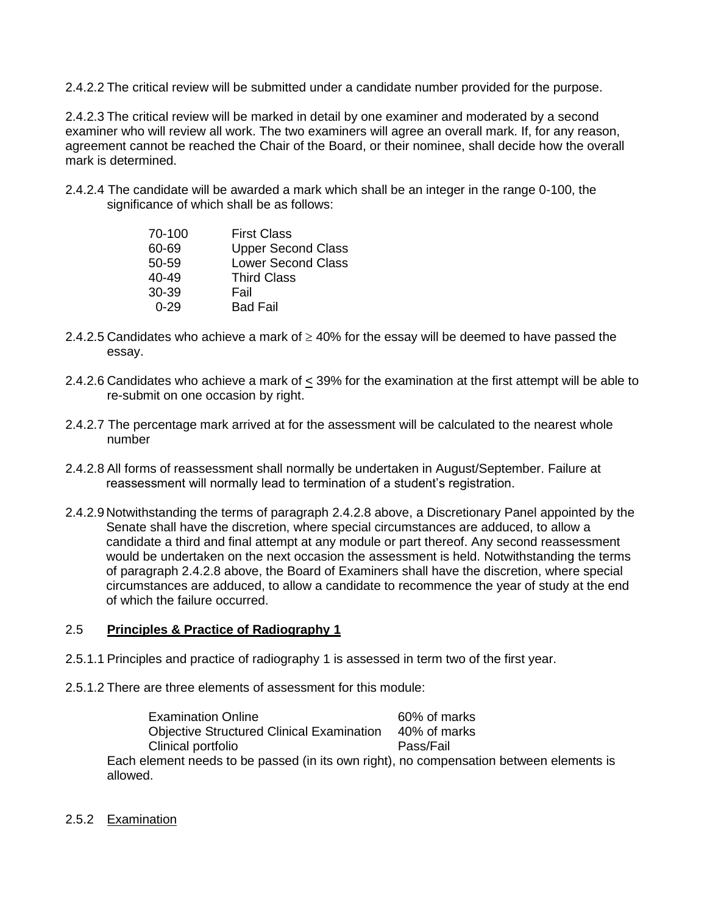2.4.2.2 The critical review will be submitted under a candidate number provided for the purpose.

2.4.2.3 The critical review will be marked in detail by one examiner and moderated by a second examiner who will review all work. The two examiners will agree an overall mark. If, for any reason, agreement cannot be reached the Chair of the Board, or their nominee, shall decide how the overall mark is determined.

2.4.2.4 The candidate will be awarded a mark which shall be an integer in the range 0-100, the significance of which shall be as follows:

| 70-100    | <b>First Class</b>        |
|-----------|---------------------------|
| 60-69     | <b>Upper Second Class</b> |
| 50-59     | <b>Lower Second Class</b> |
| $40 - 49$ | <b>Third Class</b>        |
| $30-39$   | Fail                      |
| በ-29      | <b>Bad Fail</b>           |

- 2.4.2.5 Candidates who achieve a mark of  $\geq$  40% for the essay will be deemed to have passed the essay.
- 2.4.2.6 Candidates who achieve a mark of  $\leq$  39% for the examination at the first attempt will be able to re-submit on one occasion by right.
- 2.4.2.7 The percentage mark arrived at for the assessment will be calculated to the nearest whole number
- 2.4.2.8 All forms of reassessment shall normally be undertaken in August/September. Failure at reassessment will normally lead to termination of a student's registration.
- 2.4.2.9 Notwithstanding the terms of paragraph 2.4.2.8 above, a Discretionary Panel appointed by the Senate shall have the discretion, where special circumstances are adduced, to allow a candidate a third and final attempt at any module or part thereof. Any second reassessment would be undertaken on the next occasion the assessment is held. Notwithstanding the terms of paragraph 2.4.2.8 above, the Board of Examiners shall have the discretion, where special circumstances are adduced, to allow a candidate to recommence the year of study at the end of which the failure occurred.

## 2.5 **Principles & Practice of Radiography 1**

- 2.5.1.1 Principles and practice of radiography 1 is assessed in term two of the first year.
- 2.5.1.2 There are three elements of assessment for this module:

Examination Online 60% of marks Objective Structured Clinical Examination 40% of marks Clinical portfolio Pass/Fail Each element needs to be passed (in its own right), no compensation between elements is allowed.

2.5.2 Examination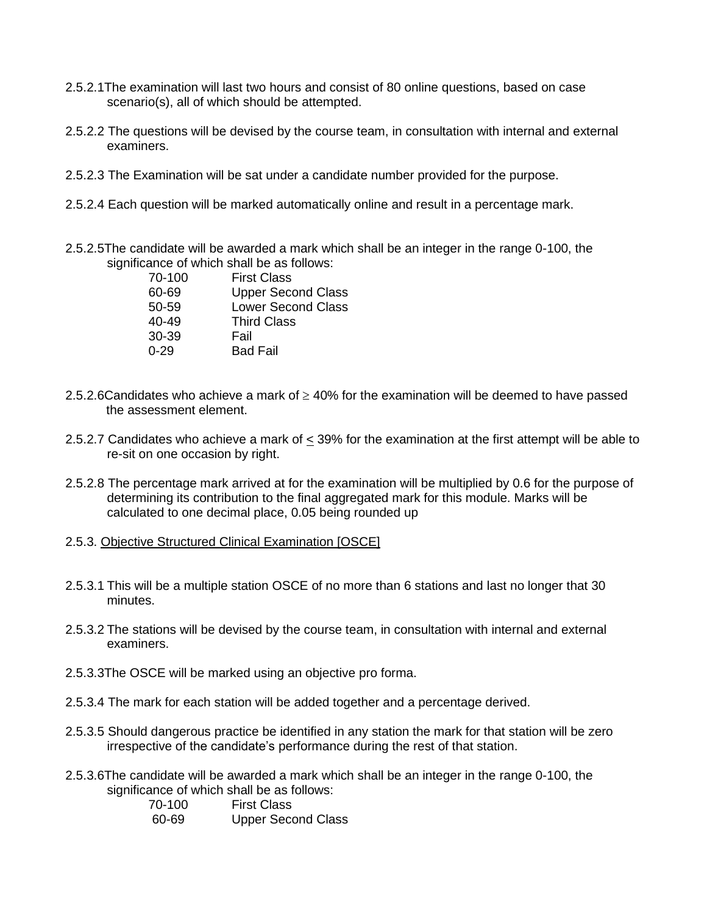- 2.5.2.1The examination will last two hours and consist of 80 online questions, based on case scenario(s), all of which should be attempted.
- 2.5.2.2 The questions will be devised by the course team, in consultation with internal and external examiners.
- 2.5.2.3 The Examination will be sat under a candidate number provided for the purpose.
- 2.5.2.4 Each question will be marked automatically online and result in a percentage mark.
- 2.5.2.5The candidate will be awarded a mark which shall be an integer in the range 0-100, the significance of which shall be as follows:

| <b>First Class</b>        |
|---------------------------|
| <b>Upper Second Class</b> |
| <b>Lower Second Class</b> |
| <b>Third Class</b>        |
| Fail                      |
| <b>Bad Fail</b>           |
|                           |

- 2.5.2.6Candidates who achieve a mark of  $\geq$  40% for the examination will be deemed to have passed the assessment element.
- 2.5.2.7 Candidates who achieve a mark of < 39% for the examination at the first attempt will be able to re-sit on one occasion by right.
- 2.5.2.8 The percentage mark arrived at for the examination will be multiplied by 0.6 for the purpose of determining its contribution to the final aggregated mark for this module. Marks will be calculated to one decimal place, 0.05 being rounded up
- 2.5.3. Objective Structured Clinical Examination [OSCE]
- 2.5.3.1 This will be a multiple station OSCE of no more than 6 stations and last no longer that 30 minutes.
- 2.5.3.2 The stations will be devised by the course team, in consultation with internal and external examiners.
- 2.5.3.3The OSCE will be marked using an objective pro forma.
- 2.5.3.4 The mark for each station will be added together and a percentage derived.
- 2.5.3.5 Should dangerous practice be identified in any station the mark for that station will be zero irrespective of the candidate's performance during the rest of that station.
- 2.5.3.6The candidate will be awarded a mark which shall be an integer in the range 0-100, the significance of which shall be as follows:

70-100 First Class 60-69 Upper Second Class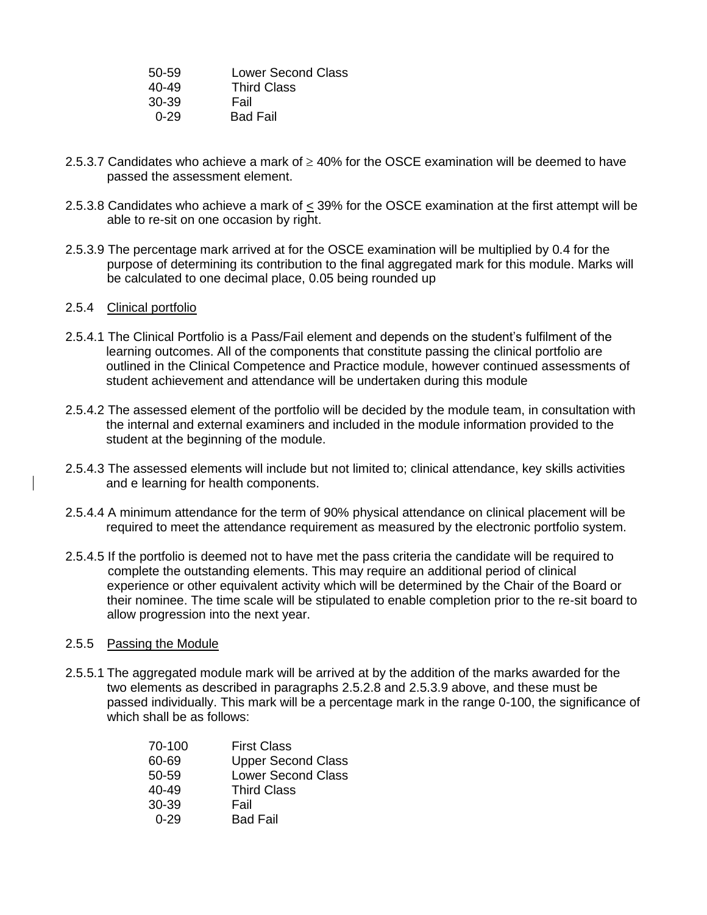| 50-59    | <b>Lower Second Class</b> |
|----------|---------------------------|
| 40-49    | <b>Third Class</b>        |
| 30-39    | Fail                      |
| $0 - 29$ | <b>Bad Fail</b>           |

- 2.5.3.7 Candidates who achieve a mark of  $\geq$  40% for the OSCE examination will be deemed to have passed the assessment element.
- 2.5.3.8 Candidates who achieve a mark of < 39% for the OSCE examination at the first attempt will be able to re-sit on one occasion by right.
- 2.5.3.9 The percentage mark arrived at for the OSCE examination will be multiplied by 0.4 for the purpose of determining its contribution to the final aggregated mark for this module. Marks will be calculated to one decimal place, 0.05 being rounded up

### 2.5.4 Clinical portfolio

- 2.5.4.1 The Clinical Portfolio is a Pass/Fail element and depends on the student's fulfilment of the learning outcomes. All of the components that constitute passing the clinical portfolio are outlined in the Clinical Competence and Practice module, however continued assessments of student achievement and attendance will be undertaken during this module
- 2.5.4.2 The assessed element of the portfolio will be decided by the module team, in consultation with the internal and external examiners and included in the module information provided to the student at the beginning of the module.
- 2.5.4.3 The assessed elements will include but not limited to; clinical attendance, key skills activities and e learning for health components.
- 2.5.4.4 A minimum attendance for the term of 90% physical attendance on clinical placement will be required to meet the attendance requirement as measured by the electronic portfolio system.
- 2.5.4.5 If the portfolio is deemed not to have met the pass criteria the candidate will be required to complete the outstanding elements. This may require an additional period of clinical experience or other equivalent activity which will be determined by the Chair of the Board or their nominee. The time scale will be stipulated to enable completion prior to the re-sit board to allow progression into the next year.

### 2.5.5 Passing the Module

2.5.5.1 The aggregated module mark will be arrived at by the addition of the marks awarded for the two elements as described in paragraphs 2.5.2.8 and 2.5.3.9 above, and these must be passed individually. This mark will be a percentage mark in the range 0-100, the significance of which shall be as follows:

| 70-100    | <b>First Class</b>        |
|-----------|---------------------------|
| 60-69     | <b>Upper Second Class</b> |
| 50-59     | <b>Lower Second Class</b> |
| $40 - 49$ | <b>Third Class</b>        |
| 30-39     | Fail                      |
| በ-29      | <b>Bad Fail</b>           |
|           |                           |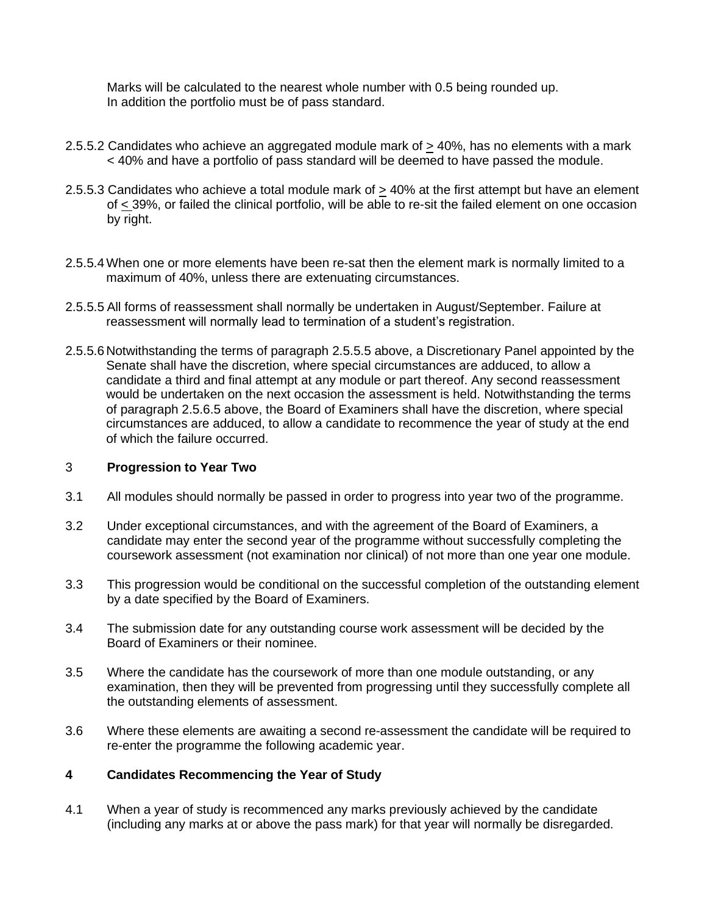Marks will be calculated to the nearest whole number with 0.5 being rounded up. In addition the portfolio must be of pass standard.

- 2.5.5.2 Candidates who achieve an aggregated module mark of  $\geq$  40%, has no elements with a mark < 40% and have a portfolio of pass standard will be deemed to have passed the module.
- 2.5.5.3 Candidates who achieve a total module mark of > 40% at the first attempt but have an element of < 39%, or failed the clinical portfolio, will be able to re-sit the failed element on one occasion by right.
- 2.5.5.4When one or more elements have been re-sat then the element mark is normally limited to a maximum of 40%, unless there are extenuating circumstances.
- 2.5.5.5 All forms of reassessment shall normally be undertaken in August/September. Failure at reassessment will normally lead to termination of a student's registration.
- 2.5.5.6 Notwithstanding the terms of paragraph 2.5.5.5 above, a Discretionary Panel appointed by the Senate shall have the discretion, where special circumstances are adduced, to allow a candidate a third and final attempt at any module or part thereof. Any second reassessment would be undertaken on the next occasion the assessment is held. Notwithstanding the terms of paragraph 2.5.6.5 above, the Board of Examiners shall have the discretion, where special circumstances are adduced, to allow a candidate to recommence the year of study at the end of which the failure occurred.

#### 3 **Progression to Year Two**

- 3.1 All modules should normally be passed in order to progress into year two of the programme.
- 3.2 Under exceptional circumstances, and with the agreement of the Board of Examiners, a candidate may enter the second year of the programme without successfully completing the coursework assessment (not examination nor clinical) of not more than one year one module.
- 3.3 This progression would be conditional on the successful completion of the outstanding element by a date specified by the Board of Examiners.
- 3.4 The submission date for any outstanding course work assessment will be decided by the Board of Examiners or their nominee.
- 3.5 Where the candidate has the coursework of more than one module outstanding, or any examination, then they will be prevented from progressing until they successfully complete all the outstanding elements of assessment.
- 3.6 Where these elements are awaiting a second re-assessment the candidate will be required to re-enter the programme the following academic year.

#### **4 Candidates Recommencing the Year of Study**

4.1 When a year of study is recommenced any marks previously achieved by the candidate (including any marks at or above the pass mark) for that year will normally be disregarded.